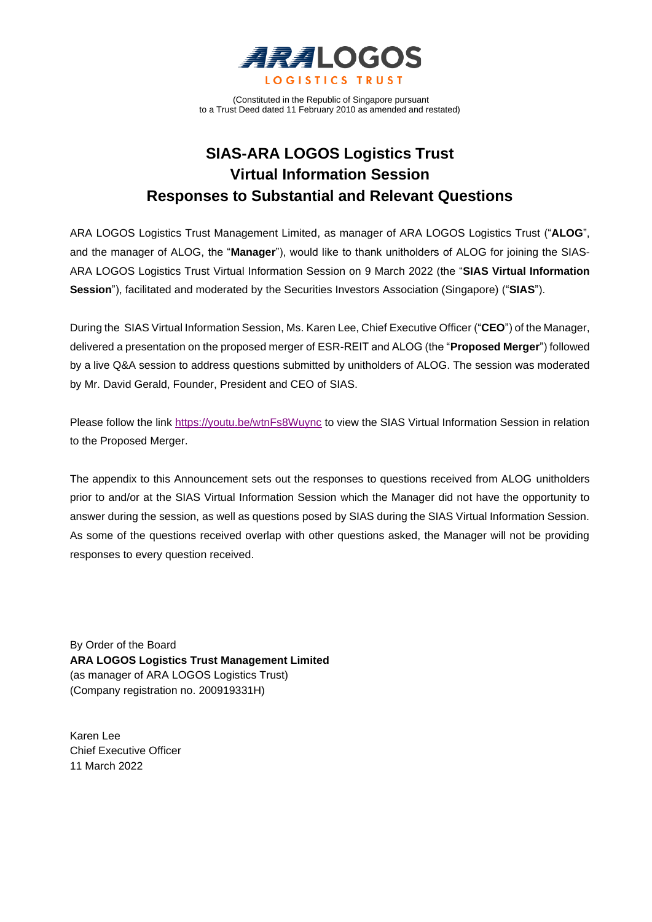

(Constituted in the Republic of Singapore pursuant to a Trust Deed dated 11 February 2010 as amended and restated)

# **SIAS-ARA LOGOS Logistics Trust Virtual Information Session Responses to Substantial and Relevant Questions**

ARA LOGOS Logistics Trust Management Limited, as manager of ARA LOGOS Logistics Trust ("**ALOG**", and the manager of ALOG, the "**Manager**"), would like to thank unitholders of ALOG for joining the SIAS-ARA LOGOS Logistics Trust Virtual Information Session on 9 March 2022 (the "**SIAS Virtual Information Session**"), facilitated and moderated by the Securities Investors Association (Singapore) ("**SIAS**").

During the SIAS Virtual Information Session, Ms. Karen Lee, Chief Executive Officer ("**CEO**") of the Manager, delivered a presentation on the proposed merger of ESR-REIT and ALOG (the "**Proposed Merger**") followed by a live Q&A session to address questions submitted by unitholders of ALOG. The session was moderated by Mr. David Gerald, Founder, President and CEO of SIAS.

Please follow the link<https://youtu.be/wtnFs8Wuync> to view the SIAS Virtual Information Session in relation to the Proposed Merger.

The appendix to this Announcement sets out the responses to questions received from ALOG unitholders prior to and/or at the SIAS Virtual Information Session which the Manager did not have the opportunity to answer during the session, as well as questions posed by SIAS during the SIAS Virtual Information Session. As some of the questions received overlap with other questions asked, the Manager will not be providing responses to every question received.

By Order of the Board **ARA LOGOS Logistics Trust Management Limited**  (as manager of ARA LOGOS Logistics Trust) (Company registration no. 200919331H)

Karen Lee Chief Executive Officer 11 March 2022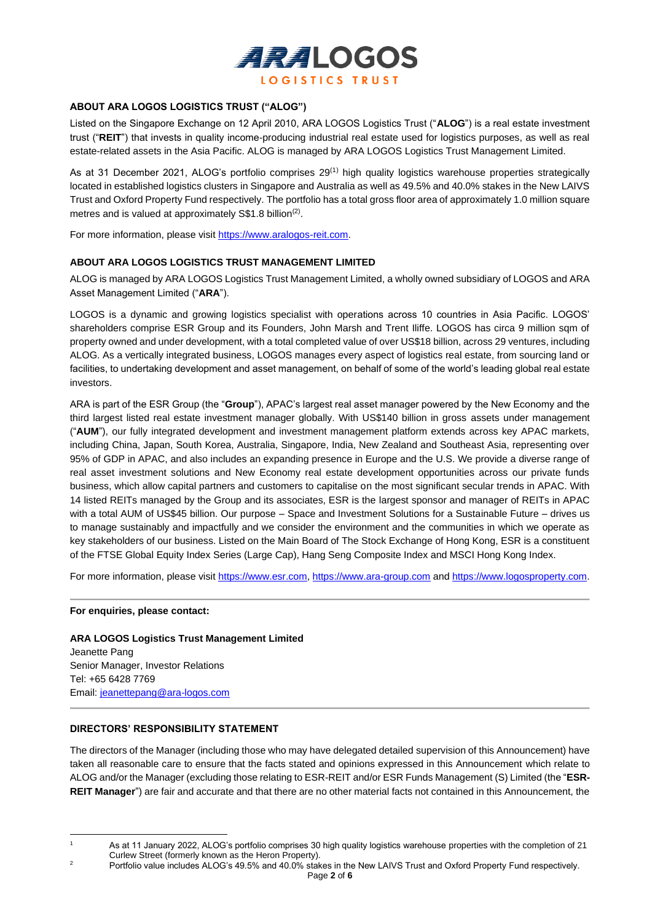

## **ABOUT ARA LOGOS LOGISTICS TRUST ("ALOG")**

Listed on the Singapore Exchange on 12 April 2010, ARA LOGOS Logistics Trust ("**ALOG**") is a real estate investment trust ("**REIT**") that invests in quality income-producing industrial real estate used for logistics purposes, as well as real estate-related assets in the Asia Pacific. ALOG is managed by ARA LOGOS Logistics Trust Management Limited.

As at 31 December 2021, ALOG's portfolio comprises 29<sup>(1)</sup> high quality logistics warehouse properties strategically located in established logistics clusters in Singapore and Australia as well as 49.5% and 40.0% stakes in the New LAIVS Trust and Oxford Property Fund respectively. The portfolio has a total gross floor area of approximately 1.0 million square metres and is valued at approximately  $\$4.8$  billion<sup>(2)</sup>.

For more information, please visit https://www.aralogos-reit.com.

#### **ABOUT ARA LOGOS LOGISTICS TRUST MANAGEMENT LIMITED**

ALOG is managed by ARA LOGOS Logistics Trust Management Limited, a wholly owned subsidiary of LOGOS and ARA Asset Management Limited ("**ARA**").

LOGOS is a dynamic and growing logistics specialist with operations across 10 countries in Asia Pacific. LOGOS' shareholders comprise ESR Group and its Founders, John Marsh and Trent Iliffe. LOGOS has circa 9 million sqm of property owned and under development, with a total completed value of over US\$18 billion, across 29 ventures, including ALOG. As a vertically integrated business, LOGOS manages every aspect of logistics real estate, from sourcing land or facilities, to undertaking development and asset management, on behalf of some of the world's leading global real estate investors.

ARA is part of the ESR Group (the "**Group**"), APAC's largest real asset manager powered by the New Economy and the third largest listed real estate investment manager globally. With US\$140 billion in gross assets under management ("**AUM**"), our fully integrated development and investment management platform extends across key APAC markets, including China, Japan, South Korea, Australia, Singapore, India, New Zealand and Southeast Asia, representing over 95% of GDP in APAC, and also includes an expanding presence in Europe and the U.S. We provide a diverse range of real asset investment solutions and New Economy real estate development opportunities across our private funds business, which allow capital partners and customers to capitalise on the most significant secular trends in APAC. With 14 listed REITs managed by the Group and its associates, ESR is the largest sponsor and manager of REITs in APAC with a total AUM of US\$45 billion. Our purpose – Space and Investment Solutions for a Sustainable Future – drives us to manage sustainably and impactfully and we consider the environment and the communities in which we operate as key stakeholders of our business. Listed on the Main Board of The Stock Exchange of Hong Kong, ESR is a constituent of the FTSE Global Equity Index Series (Large Cap), Hang Seng Composite Index and MSCI Hong Kong Index.

For more information, please visit [https://www.esr.com,](https://www.esr.com/) [https://www.ara-group.com](https://www.ara-group.com/) and [https://www.logosproperty.com.](https://www.logosproperty.com/)

#### **For enquiries, please contact:**

**ARA LOGOS Logistics Trust Management Limited** Jeanette Pang Senior Manager, Investor Relations Tel: +65 6428 7769 Email: [jeanettepang@ara-logos.com](mailto:jeanettepang@ara-logos.com)

#### **DIRECTORS' RESPONSIBILITY STATEMENT**

The directors of the Manager (including those who may have delegated detailed supervision of this Announcement) have taken all reasonable care to ensure that the facts stated and opinions expressed in this Announcement which relate to ALOG and/or the Manager (excluding those relating to ESR-REIT and/or ESR Funds Management (S) Limited (the "**ESR-REIT Manager**") are fair and accurate and that there are no other material facts not contained in this Announcement, the

<sup>&</sup>lt;sup>1</sup> As at 11 January 2022, ALOG's portfolio comprises 30 high quality logistics warehouse properties with the completion of 21 Curlew Street (formerly known as the Heron Property).

<sup>&</sup>lt;sup>2</sup> Portfolio value includes ALOG's 49.5% and 40.0% stakes in the New LAIVS Trust and Oxford Property Fund respectively.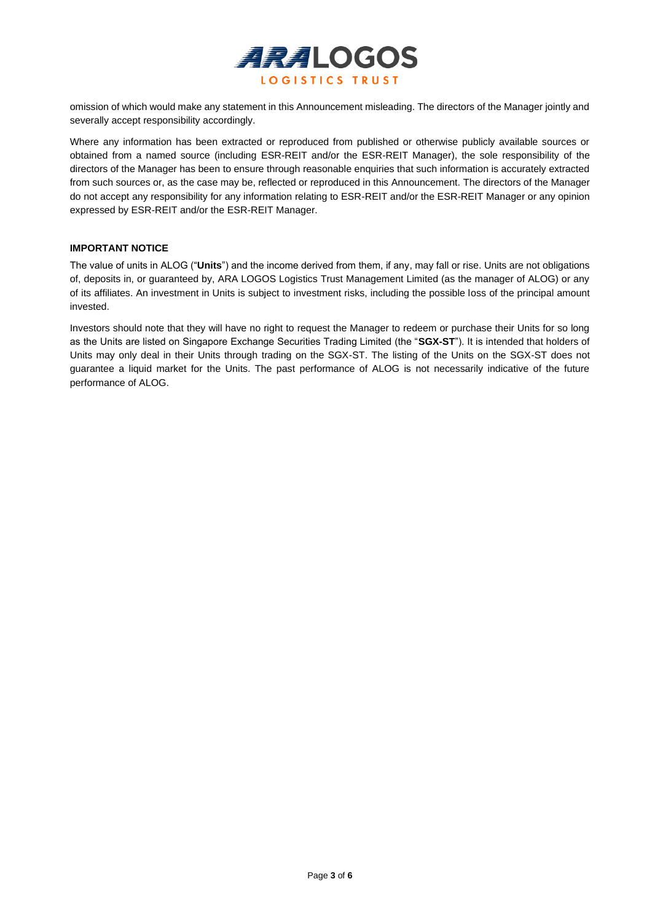

omission of which would make any statement in this Announcement misleading. The directors of the Manager jointly and severally accept responsibility accordingly.

Where any information has been extracted or reproduced from published or otherwise publicly available sources or obtained from a named source (including ESR-REIT and/or the ESR-REIT Manager), the sole responsibility of the directors of the Manager has been to ensure through reasonable enquiries that such information is accurately extracted from such sources or, as the case may be, reflected or reproduced in this Announcement. The directors of the Manager do not accept any responsibility for any information relating to ESR-REIT and/or the ESR-REIT Manager or any opinion expressed by ESR-REIT and/or the ESR-REIT Manager.

#### **IMPORTANT NOTICE**

The value of units in ALOG ("**Units**") and the income derived from them, if any, may fall or rise. Units are not obligations of, deposits in, or guaranteed by, ARA LOGOS Logistics Trust Management Limited (as the manager of ALOG) or any of its affiliates. An investment in Units is subject to investment risks, including the possible loss of the principal amount invested.

Investors should note that they will have no right to request the Manager to redeem or purchase their Units for so long as the Units are listed on Singapore Exchange Securities Trading Limited (the "**SGX-ST**"). It is intended that holders of Units may only deal in their Units through trading on the SGX-ST. The listing of the Units on the SGX-ST does not guarantee a liquid market for the Units. The past performance of ALOG is not necessarily indicative of the future performance of ALOG.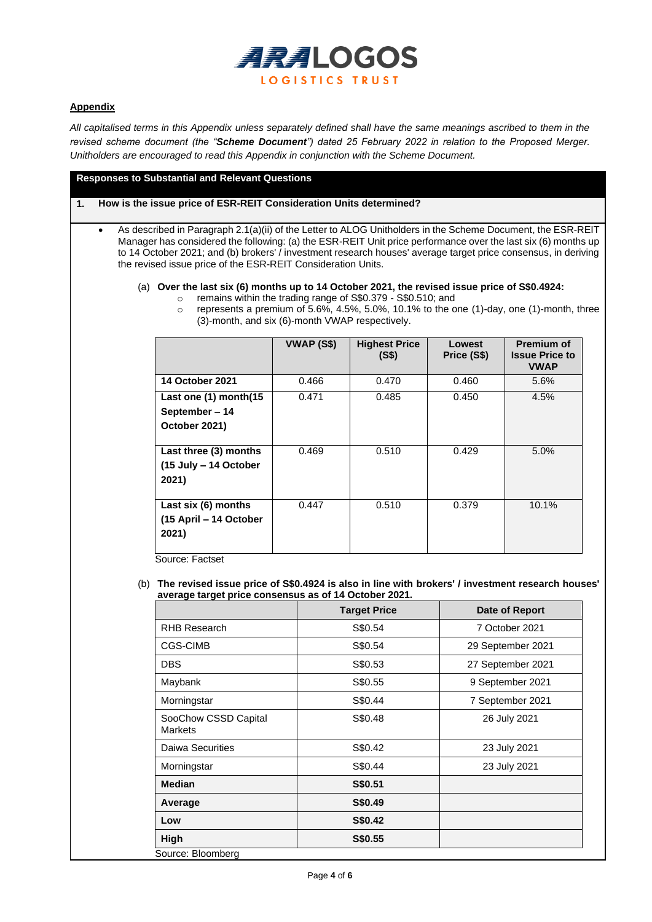

## **Appendix**

*All capitalised terms in this Appendix unless separately defined shall have the same meanings ascribed to them in the revised scheme document (the "Scheme Document") dated 25 February 2022 in relation to the Proposed Merger. Unitholders are encouraged to read this Appendix in conjunction with the Scheme Document.*

**Responses to Substantial and Relevant Questions**

**1. How is the issue price of ESR-REIT Consideration Units determined?**

• As described in Paragraph 2.1(a)(ii) of the Letter to ALOG Unitholders in the Scheme Document, the ESR-REIT Manager has considered the following: (a) the ESR-REIT Unit price performance over the last six (6) months up to 14 October 2021; and (b) brokers' / investment research houses' average target price consensus, in deriving the revised issue price of the ESR-REIT Consideration Units.

(a) **Over the last six (6) months up to 14 October 2021, the revised issue price of S\$0.4924:**

- o remains within the trading range of S\$0.379 S\$0.510; and
	- $\circ$  represents a premium of 5.6%, 4.5%, 5.0%, 10.1% to the one (1)-day, one (1)-month, three (3)-month, and six (6)-month VWAP respectively.

|                        | VWAP (S\$) | <b>Highest Price</b><br>(S\$) | Lowest<br>Price (S\$) | <b>Premium of</b><br><b>Issue Price to</b><br><b>VWAP</b> |
|------------------------|------------|-------------------------------|-----------------------|-----------------------------------------------------------|
| <b>14 October 2021</b> | 0.466      | 0.470                         | 0.460                 | 5.6%                                                      |
| Last one (1) month(15  | 0.471      | 0.485                         | 0.450                 | 4.5%                                                      |
| September - 14         |            |                               |                       |                                                           |
| October 2021)          |            |                               |                       |                                                           |
|                        |            |                               |                       |                                                           |
| Last three (3) months  | 0.469      | 0.510                         | 0.429                 | 5.0%                                                      |
| (15 July - 14 October  |            |                               |                       |                                                           |
| 2021)                  |            |                               |                       |                                                           |
| Last six (6) months    | 0.447      | 0.510                         | 0.379                 | 10.1%                                                     |
| (15 April – 14 October |            |                               |                       |                                                           |
| 2021)                  |            |                               |                       |                                                           |

Source: Factset

(b) **The revised issue price of S\$0.4924 is also in line with brokers' / investment research houses' average target price consensus as of 14 October 2021.**

|                                 | <b>Target Price</b> | Date of Report    |  |
|---------------------------------|---------------------|-------------------|--|
| RHB Research                    | S\$0.54             | 7 October 2021    |  |
| <b>CGS-CIMB</b>                 | S\$0.54             | 29 September 2021 |  |
| <b>DBS</b>                      | S\$0.53             | 27 September 2021 |  |
| Maybank                         | S\$0.55             | 9 September 2021  |  |
| Morningstar                     | S\$0.44             | 7 September 2021  |  |
| SooChow CSSD Capital<br>Markets | S\$0.48             | 26 July 2021      |  |
| Daiwa Securities                | S\$0.42             | 23 July 2021      |  |
| Morningstar                     | S\$0.44             | 23 July 2021      |  |
| <b>Median</b>                   | S\$0.51             |                   |  |
| Average                         | S\$0.49             |                   |  |
| Low                             | <b>S\$0.42</b>      |                   |  |
| High                            | S\$0.55             |                   |  |
| Source: Bloomberg               |                     |                   |  |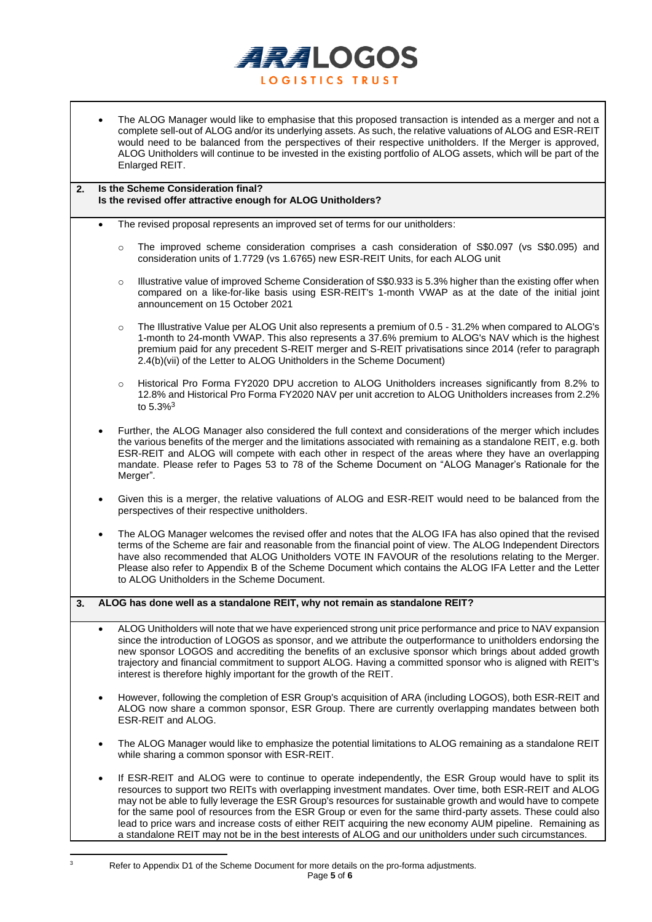

The ALOG Manager would like to emphasise that this proposed transaction is intended as a merger and not a complete sell-out of ALOG and/or its underlying assets. As such, the relative valuations of ALOG and ESR-REIT would need to be balanced from the perspectives of their respective unitholders. If the Merger is approved, ALOG Unitholders will continue to be invested in the existing portfolio of ALOG assets, which will be part of the Enlarged REIT.

#### **2. Is the Scheme Consideration final? Is the revised offer attractive enough for ALOG Unitholders?**

- The revised proposal represents an improved set of terms for our unitholders:
	- o The improved scheme consideration comprises a cash consideration of S\$0.097 (vs S\$0.095) and consideration units of 1.7729 (vs 1.6765) new ESR-REIT Units, for each ALOG unit
	- Illustrative value of improved Scheme Consideration of S\$0.933 is 5.3% higher than the existing offer when compared on a like-for-like basis using ESR-REIT's 1-month VWAP as at the date of the initial joint announcement on 15 October 2021
	- o The Illustrative Value per ALOG Unit also represents a premium of 0.5 31.2% when compared to ALOG's 1-month to 24-month VWAP. This also represents a 37.6% premium to ALOG's NAV which is the highest premium paid for any precedent S-REIT merger and S-REIT privatisations since 2014 (refer to paragraph 2.4(b)(vii) of the Letter to ALOG Unitholders in the Scheme Document)
	- Historical Pro Forma FY2020 DPU accretion to ALOG Unitholders increases significantly from 8.2% to 12.8% and Historical Pro Forma FY2020 NAV per unit accretion to ALOG Unitholders increases from 2.2% to 5.3%<sup>3</sup>
- Further, the ALOG Manager also considered the full context and considerations of the merger which includes the various benefits of the merger and the limitations associated with remaining as a standalone REIT, e.g. both ESR-REIT and ALOG will compete with each other in respect of the areas where they have an overlapping mandate. Please refer to Pages 53 to 78 of the Scheme Document on "ALOG Manager's Rationale for the Merger".
- Given this is a merger, the relative valuations of ALOG and ESR-REIT would need to be balanced from the perspectives of their respective unitholders.
- The ALOG Manager welcomes the revised offer and notes that the ALOG IFA has also opined that the revised terms of the Scheme are fair and reasonable from the financial point of view. The ALOG Independent Directors have also recommended that ALOG Unitholders VOTE IN FAVOUR of the resolutions relating to the Merger. Please also refer to Appendix B of the Scheme Document which contains the ALOG IFA Letter and the Letter to ALOG Unitholders in the Scheme Document.

## **3. ALOG has done well as a standalone REIT, why not remain as standalone REIT?**

- ALOG Unitholders will note that we have experienced strong unit price performance and price to NAV expansion since the introduction of LOGOS as sponsor, and we attribute the outperformance to unitholders endorsing the new sponsor LOGOS and accrediting the benefits of an exclusive sponsor which brings about added growth trajectory and financial commitment to support ALOG. Having a committed sponsor who is aligned with REIT's interest is therefore highly important for the growth of the REIT.
- However, following the completion of ESR Group's acquisition of ARA (including LOGOS), both ESR-REIT and ALOG now share a common sponsor, ESR Group. There are currently overlapping mandates between both ESR-REIT and ALOG.
- The ALOG Manager would like to emphasize the potential limitations to ALOG remaining as a standalone REIT while sharing a common sponsor with ESR-REIT.
- If ESR-REIT and ALOG were to continue to operate independently, the ESR Group would have to split its resources to support two REITs with overlapping investment mandates. Over time, both ESR-REIT and ALOG may not be able to fully leverage the ESR Group's resources for sustainable growth and would have to compete for the same pool of resources from the ESR Group or even for the same third-party assets. These could also lead to price wars and increase costs of either REIT acquiring the new economy AUM pipeline. Remaining as a standalone REIT may not be in the best interests of ALOG and our unitholders under such circumstances.

Refer to Appendix D1 of the Scheme Document for more details on the pro-forma adjustments.